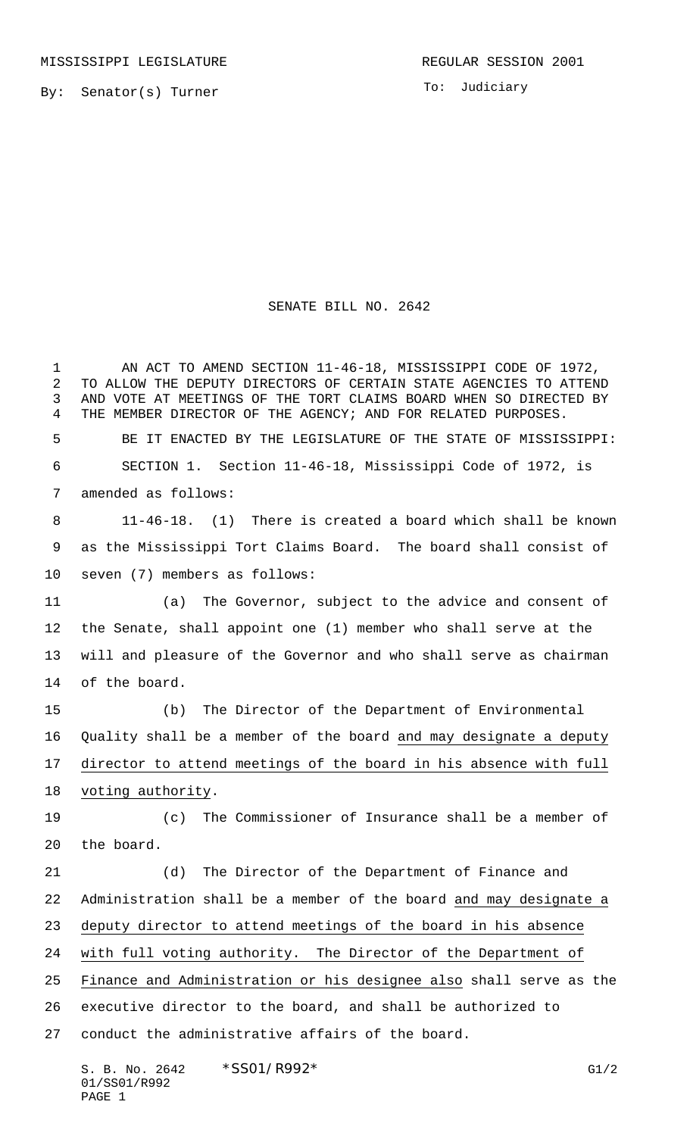To: Judiciary

## SENATE BILL NO. 2642

 AN ACT TO AMEND SECTION 11-46-18, MISSISSIPPI CODE OF 1972, TO ALLOW THE DEPUTY DIRECTORS OF CERTAIN STATE AGENCIES TO ATTEND AND VOTE AT MEETINGS OF THE TORT CLAIMS BOARD WHEN SO DIRECTED BY THE MEMBER DIRECTOR OF THE AGENCY; AND FOR RELATED PURPOSES. BE IT ENACTED BY THE LEGISLATURE OF THE STATE OF MISSISSIPPI: SECTION 1. Section 11-46-18, Mississippi Code of 1972, is amended as follows: 11-46-18. (1) There is created a board which shall be known as the Mississippi Tort Claims Board. The board shall consist of seven (7) members as follows: (a) The Governor, subject to the advice and consent of the Senate, shall appoint one (1) member who shall serve at the will and pleasure of the Governor and who shall serve as chairman of the board. (b) The Director of the Department of Environmental Quality shall be a member of the board and may designate a deputy director to attend meetings of the board in his absence with full 18 voting authority. (c) The Commissioner of Insurance shall be a member of the board. (d) The Director of the Department of Finance and Administration shall be a member of the board and may designate a deputy director to attend meetings of the board in his absence with full voting authority. The Director of the Department of Finance and Administration or his designee also shall serve as the executive director to the board, and shall be authorized to conduct the administrative affairs of the board.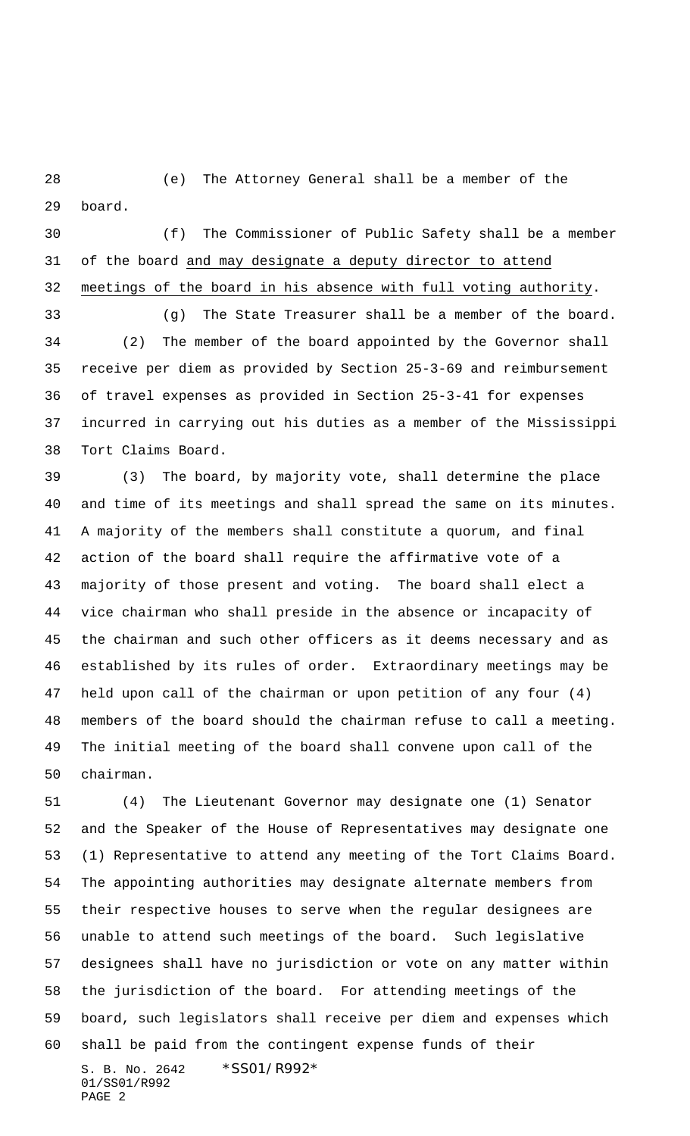(e) The Attorney General shall be a member of the board.

 (f) The Commissioner of Public Safety shall be a member 31 of the board and may designate a deputy director to attend meetings of the board in his absence with full voting authority.

 (g) The State Treasurer shall be a member of the board. (2) The member of the board appointed by the Governor shall receive per diem as provided by Section 25-3-69 and reimbursement of travel expenses as provided in Section 25-3-41 for expenses incurred in carrying out his duties as a member of the Mississippi Tort Claims Board.

 (3) The board, by majority vote, shall determine the place and time of its meetings and shall spread the same on its minutes. A majority of the members shall constitute a quorum, and final action of the board shall require the affirmative vote of a majority of those present and voting. The board shall elect a vice chairman who shall preside in the absence or incapacity of the chairman and such other officers as it deems necessary and as established by its rules of order. Extraordinary meetings may be held upon call of the chairman or upon petition of any four (4) members of the board should the chairman refuse to call a meeting. The initial meeting of the board shall convene upon call of the chairman.

S. B. No. 2642 \* SS01/R992\* 01/SS01/R992 PAGE 2 (4) The Lieutenant Governor may designate one (1) Senator and the Speaker of the House of Representatives may designate one (1) Representative to attend any meeting of the Tort Claims Board. The appointing authorities may designate alternate members from their respective houses to serve when the regular designees are unable to attend such meetings of the board. Such legislative designees shall have no jurisdiction or vote on any matter within the jurisdiction of the board. For attending meetings of the board, such legislators shall receive per diem and expenses which shall be paid from the contingent expense funds of their